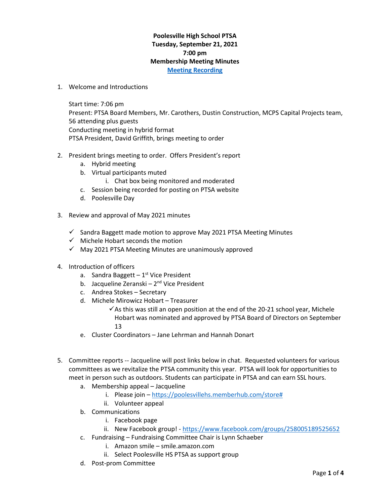## **Poolesville High School PTSA Tuesday, September 21, 2021 7:00 pm Membership Meeting Minutes [Meeting Recording](https://www.poolesvillehighschoolptsa.org/ptsa-minutes)**

1. Welcome and Introductions

Start time: 7:06 pm Present: PTSA Board Members, Mr. Carothers, Dustin Construction, MCPS Capital Projects team, 56 attending plus guests Conducting meeting in hybrid format PTSA President, David Griffith, brings meeting to order

- 2. President brings meeting to order. Offers President's report
	- a. Hybrid meeting
	- b. Virtual participants muted
		- i. Chat box being monitored and moderated
	- c. Session being recorded for posting on PTSA website
	- d. Poolesville Day
- 3. Review and approval of May 2021 minutes
	- $\checkmark$  Sandra Baggett made motion to approve May 2021 PTSA Meeting Minutes
	- ✓ Michele Hobart seconds the motion
	- $\checkmark$  May 2021 PTSA Meeting Minutes are unanimously approved
- 4. Introduction of officers
	- a. Sandra Baggett 1<sup>st</sup> Vice President
	- b. Jacqueline Zeranski 2<sup>nd</sup> Vice President
	- c. Andrea Stokes Secretary
	- d. Michele Mirowicz Hobart Treasurer
		- $\checkmark$  As this was still an open position at the end of the 20-21 school year, Michele Hobart was nominated and approved by PTSA Board of Directors on September 13
	- e. Cluster Coordinators Jane Lehrman and Hannah Donart
- 5. Committee reports -- Jacqueline will post links below in chat. Requested volunteers for various committees as we revitalize the PTSA community this year. PTSA will look for opportunities to meet in person such as outdoors. Students can participate in PTSA and can earn SSL hours.
	- a. Membership appeal Jacqueline
		- i. Please join [https://poolesvillehs.memberhub.com/store#](https://poolesvillehs.memberhub.com/store)
		- ii. Volunteer appeal
	- b. Communications
		- i. Facebook page
		- ii. New Facebook group! <https://www.facebook.com/groups/258005189525652>
	- c. Fundraising Fundraising Committee Chair is Lynn Schaeber
		- i. Amazon smile smile.amazon.com
		- ii. Select Poolesville HS PTSA as support group
	- d. Post-prom Committee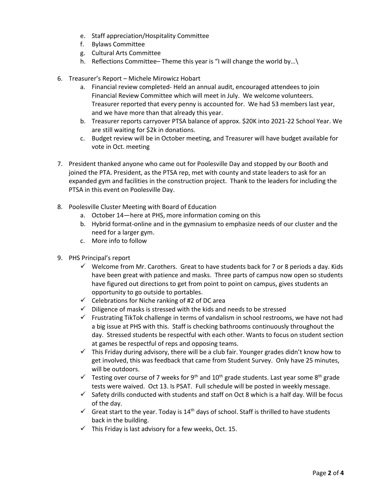- e. Staff appreciation/Hospitality Committee
- f. Bylaws Committee
- g. Cultural Arts Committee
- h. Reflections Committee– Theme this year is "I will change the world by…\
- 6. Treasurer's Report Michele Mirowicz Hobart
	- a. Financial review completed- Held an annual audit, encouraged attendees to join Financial Review Committee which will meet in July. We welcome volunteers. Treasurer reported that every penny is accounted for. We had 53 members last year, and we have more than that already this year.
	- b. Treasurer reports carryover PTSA balance of approx. \$20K into 2021-22 School Year. We are still waiting for \$2k in donations.
	- c. Budget review will be in October meeting, and Treasurer will have budget available for vote in Oct. meeting
- 7. President thanked anyone who came out for Poolesville Day and stopped by our Booth and joined the PTA. President, as the PTSA rep, met with county and state leaders to ask for an expanded gym and facilities in the construction project. Thank to the leaders for including the PTSA in this event on Poolesville Day.
- 8. Poolesville Cluster Meeting with Board of Education
	- a. October 14—here at PHS, more information coming on this
	- b. Hybrid format-online and in the gymnasium to emphasize needs of our cluster and the need for a larger gym.
	- c. More info to follow
- 9. PHS Principal's report
	- $\checkmark$  Welcome from Mr. Carothers. Great to have students back for 7 or 8 periods a day. Kids have been great with patience and masks. Three parts of campus now open so students have figured out directions to get from point to point on campus, gives students an opportunity to go outside to portables.
	- $\checkmark$  Celebrations for Niche ranking of #2 of DC area
	- ✓ Diligence of masks is stressed with the kids and needs to be stressed
	- $\checkmark$  Frustrating TikTok challenge in terms of vandalism in school restrooms, we have not had a big issue at PHS with this. Staff is checking bathrooms continuously throughout the day. Stressed students be respectful with each other. Wants to focus on student section at games be respectful of reps and opposing teams.
	- $\checkmark$  This Friday during advisory, there will be a club fair. Younger grades didn't know how to get involved, this was feedback that came from Student Survey. Only have 25 minutes, will be outdoors.
	- $\checkmark$  Testing over course of 7 weeks for 9<sup>th</sup> and 10<sup>th</sup> grade students. Last year some 8<sup>th</sup> grade tests were waived. Oct 13. Is PSAT. Full schedule will be posted in weekly message.
	- $\checkmark$  Safety drills conducted with students and staff on Oct 8 which is a half day. Will be focus of the day.
	- $\checkmark$  Great start to the year. Today is 14<sup>th</sup> days of school. Staff is thrilled to have students back in the building.
	- $\checkmark$  This Friday is last advisory for a few weeks, Oct. 15.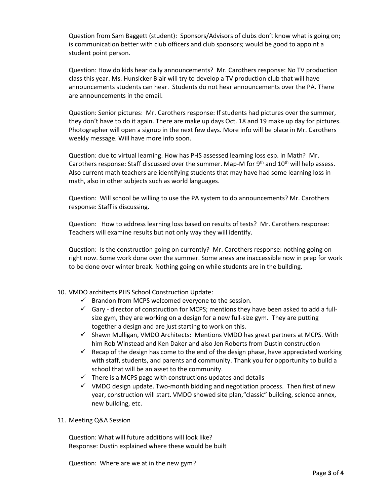Question from Sam Baggett (student): Sponsors/Advisors of clubs don't know what is going on; is communication better with club officers and club sponsors; would be good to appoint a student point person.

Question: How do kids hear daily announcements? Mr. Carothers response: No TV production class this year. Ms. Hunsicker Blair will try to develop a TV production club that will have announcements students can hear. Students do not hear announcements over the PA. There are announcements in the email.

Question: Senior pictures: Mr. Carothers response: If students had pictures over the summer, they don't have to do it again. There are make up days Oct. 18 and 19 make up day for pictures. Photographer will open a signup in the next few days. More info will be place in Mr. Carothers weekly message. Will have more info soon.

Question: due to virtual learning. How has PHS assessed learning loss esp. in Math? Mr. Carothers response: Staff discussed over the summer. Map-M for  $9<sup>th</sup>$  and  $10<sup>th</sup>$  will help assess. Also current math teachers are identifying students that may have had some learning loss in math, also in other subjects such as world languages.

Question: Will school be willing to use the PA system to do announcements? Mr. Carothers response: Staff is discussing.

Question: How to address learning loss based on results of tests? Mr. Carothers response: Teachers will examine results but not only way they will identify.

Question: Is the construction going on currently? Mr. Carothers response: nothing going on right now. Some work done over the summer. Some areas are inaccessible now in prep for work to be done over winter break. Nothing going on while students are in the building.

## 10. VMDO architects PHS School Construction Update:

- $\checkmark$  Brandon from MCPS welcomed everyone to the session.
- $\checkmark$  Gary director of construction for MCPS; mentions they have been asked to add a fullsize gym, they are working on a design for a new full-size gym. They are putting together a design and are just starting to work on this.
- ✓ Shawn Mulligan, VMDO Architects: Mentions VMDO has great partners at MCPS. With him Rob Winstead and Ken Daker and also Jen Roberts from Dustin construction
- $\checkmark$  Recap of the design has come to the end of the design phase, have appreciated working with staff, students, and parents and community. Thank you for opportunity to build a school that will be an asset to the community.
- $\checkmark$  There is a MCPS page with constructions updates and details
- $\checkmark$  VMDO design update. Two-month bidding and negotiation process. Then first of new year, construction will start. VMDO showed site plan,"classic" building, science annex, new building, etc.
- 11. Meeting Q&A Session

Question: What will future additions will look like? Response: Dustin explained where these would be built

Question: Where are we at in the new gym?